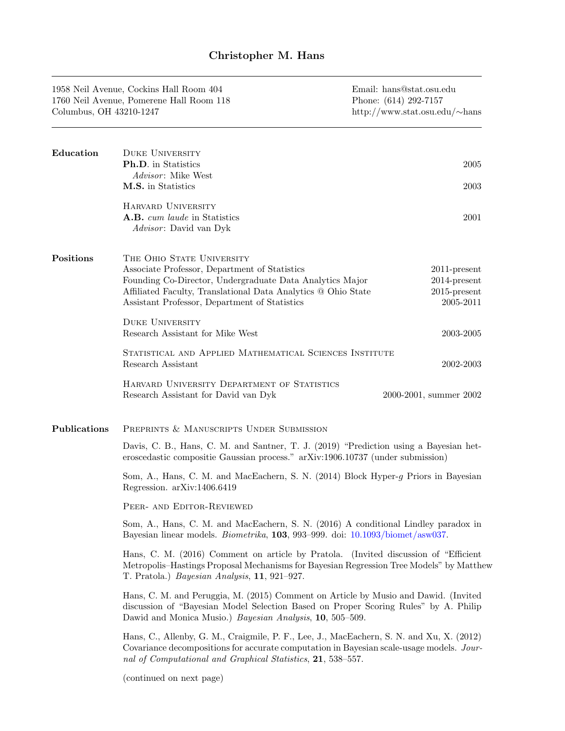| Columbus, OH 43210-1247 | 1958 Neil Avenue, Cockins Hall Room 404<br>1760 Neil Avenue, Pomerene Hall Room 118                                                                                                                                                                      | Email: hans@stat.osu.edu<br>Phone: (614) 292-7157<br>http://www.stat.osu.edu/ $\sim$ hans |  |
|-------------------------|----------------------------------------------------------------------------------------------------------------------------------------------------------------------------------------------------------------------------------------------------------|-------------------------------------------------------------------------------------------|--|
| Education               | <b>DUKE UNIVERSITY</b><br>Ph.D. in Statistics<br><i>Advisor</i> : Mike West<br>M.S. in Statistics                                                                                                                                                        | 2005<br>2003                                                                              |  |
|                         | HARVARD UNIVERSITY<br>A.B. cum laude in Statistics<br><i>Advisor</i> : David van Dyk                                                                                                                                                                     | 2001                                                                                      |  |
| $\rm Positions$         | THE OHIO STATE UNIVERSITY<br>Associate Professor, Department of Statistics<br>Founding Co-Director, Undergraduate Data Analytics Major<br>Affiliated Faculty, Translational Data Analytics @ Ohio State<br>Assistant Professor, Department of Statistics | $2011$ -present<br>$2014$ -present<br>$2015$ -present<br>2005-2011                        |  |
|                         | <b>DUKE UNIVERSITY</b><br>Research Assistant for Mike West                                                                                                                                                                                               | 2003-2005                                                                                 |  |
|                         | STATISTICAL AND APPLIED MATHEMATICAL SCIENCES INSTITUTE<br>Research Assistant                                                                                                                                                                            | 2002-2003                                                                                 |  |
|                         | HARVARD UNIVERSITY DEPARTMENT OF STATISTICS<br>Research Assistant for David van Dyk                                                                                                                                                                      | 2000-2001, summer 2002                                                                    |  |
| Publications            | PREPRINTS & MANUSCRIPTS UNDER SUBMISSION                                                                                                                                                                                                                 |                                                                                           |  |
|                         | Davis, C. B., Hans, C. M. and Santner, T. J. (2019) "Prediction using a Bayesian het-<br>eroscedastic compositie Gaussian process." arXiv:1906.10737 (under submission)                                                                                  |                                                                                           |  |
|                         | Som, A., Hans, C. M. and MacEachern, S. N. (2014) Block Hyper-g Priors in Bayesian<br>Regression. arXiv:1406.6419                                                                                                                                        |                                                                                           |  |
|                         | PEER- AND EDITOR-REVIEWED                                                                                                                                                                                                                                |                                                                                           |  |
|                         | Som, A., Hans, C. M. and MacEachern, S. N. (2016) A conditional Lindley paradox in<br>Bayesian linear models. <i>Biometrika</i> , 103, 993-999. doi: 10.1093/biomet/asw037.                                                                              |                                                                                           |  |
|                         | Hans, C. M. (2016) Comment on article by Pratola. (Invited discussion of "Efficient"<br>Metropolis-Hastings Proposal Mechanisms for Bayesian Regression Tree Models" by Matthew<br>T. Pratola.) Bayesian Analysis, 11, 921-927.                          |                                                                                           |  |
|                         | Hans, C. M. and Peruggia, M. (2015) Comment on Article by Musio and Dawid. (Invited                                                                                                                                                                      |                                                                                           |  |

discussion of "Bayesian Model Selection Based on Proper Scoring Rules" by A. Philip Dawid and Monica Musio.) Bayesian Analysis, 10, 505–509. Hans, C., Allenby, G. M., Craigmile, P. F., Lee, J., MacEachern, S. N. and Xu, X. (2012)

Covariance decompositions for accurate computation in Bayesian scale-usage models. Journal of Computational and Graphical Statistics, 21, 538–557.

(continued on next page)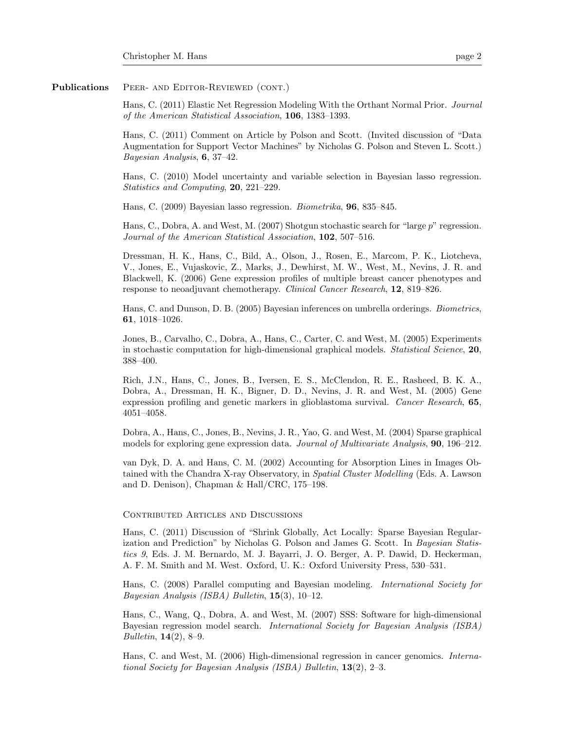## Publications PEER- AND EDITOR-REVIEWED (CONT.)

Hans, C. (2011) Elastic Net Regression Modeling With the Orthant Normal Prior. Journal of the American Statistical Association, 106, 1383–1393.

Hans, C. (2011) Comment on Article by Polson and Scott. (Invited discussion of "Data Augmentation for Support Vector Machines" by Nicholas G. Polson and Steven L. Scott.) Bayesian Analysis, 6, 37–42.

Hans, C. (2010) Model uncertainty and variable selection in Bayesian lasso regression. Statistics and Computing, 20, 221–229.

Hans, C. (2009) Bayesian lasso regression. Biometrika, 96, 835–845.

Hans, C., Dobra, A. and West, M. (2007) Shotgun stochastic search for "large p" regression. Journal of the American Statistical Association, 102, 507-516.

Dressman, H. K., Hans, C., Bild, A., Olson, J., Rosen, E., Marcom, P. K., Liotcheva, V., Jones, E., Vujaskovic, Z., Marks, J., Dewhirst, M. W., West, M., Nevins, J. R. and Blackwell, K. (2006) Gene expression profiles of multiple breast cancer phenotypes and response to neoadjuvant chemotherapy. Clinical Cancer Research, 12, 819–826.

Hans, C. and Dunson, D. B. (2005) Bayesian inferences on umbrella orderings. Biometrics, 61, 1018–1026.

Jones, B., Carvalho, C., Dobra, A., Hans, C., Carter, C. and West, M. (2005) Experiments in stochastic computation for high-dimensional graphical models. Statistical Science, 20, 388–400.

Rich, J.N., Hans, C., Jones, B., Iversen, E. S., McClendon, R. E., Rasheed, B. K. A., Dobra, A., Dressman, H. K., Bigner, D. D., Nevins, J. R. and West, M. (2005) Gene expression profiling and genetic markers in glioblastoma survival. Cancer Research, 65, 4051–4058.

Dobra, A., Hans, C., Jones, B., Nevins, J. R., Yao, G. and West, M. (2004) Sparse graphical models for exploring gene expression data. Journal of Multivariate Analysis, **90**, 196–212.

van Dyk, D. A. and Hans, C. M. (2002) Accounting for Absorption Lines in Images Obtained with the Chandra X-ray Observatory, in Spatial Cluster Modelling (Eds. A. Lawson and D. Denison), Chapman & Hall/CRC, 175–198.

### CONTRIBUTED ARTICLES AND DISCUSSIONS

Hans, C. (2011) Discussion of "Shrink Globally, Act Locally: Sparse Bayesian Regularization and Prediction" by Nicholas G. Polson and James G. Scott. In Bayesian Statistics 9, Eds. J. M. Bernardo, M. J. Bayarri, J. O. Berger, A. P. Dawid, D. Heckerman, A. F. M. Smith and M. West. Oxford, U. K.: Oxford University Press, 530–531.

Hans, C. (2008) Parallel computing and Bayesian modeling. International Society for Bayesian Analysis (ISBA) Bulletin, 15(3), 10–12.

Hans, C., Wang, Q., Dobra, A. and West, M. (2007) SSS: Software for high-dimensional Bayesian regression model search. International Society for Bayesian Analysis (ISBA) Bulletin, 14(2), 8–9.

Hans, C. and West, M. (2006) High-dimensional regression in cancer genomics. International Society for Bayesian Analysis (ISBA) Bulletin, 13(2), 2–3.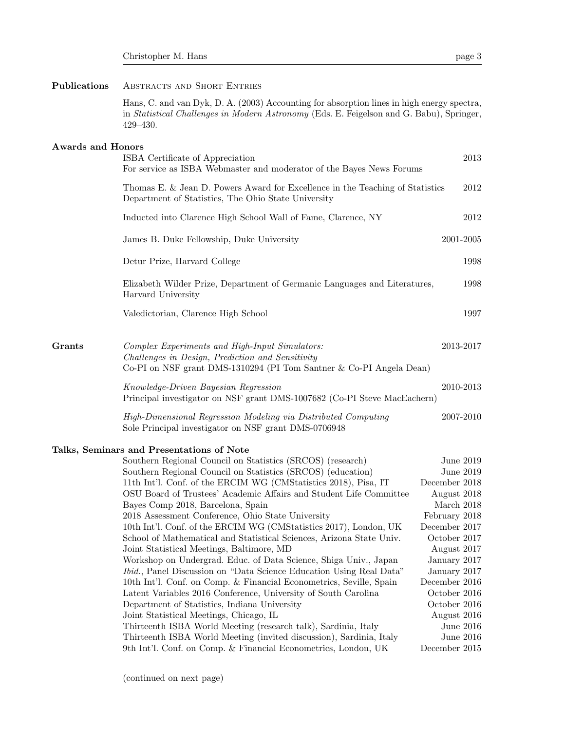# Publications ABSTRACTS AND SHORT ENTRIES

Hans, C. and van Dyk, D. A. (2003) Accounting for absorption lines in high energy spectra, in Statistical Challenges in Modern Astronomy (Eds. E. Feigelson and G. Babu), Springer, 429–430.

## Awards and Honors

|        | ISBA Certificate of Appreciation<br>For service as ISBA Webmaster and moderator of the Bayes News Forums                                                                  | 2013          |
|--------|---------------------------------------------------------------------------------------------------------------------------------------------------------------------------|---------------|
|        | Thomas E. & Jean D. Powers Award for Excellence in the Teaching of Statistics<br>Department of Statistics, The Ohio State University                                      | 2012          |
|        | Inducted into Clarence High School Wall of Fame, Clarence, NY                                                                                                             | 2012          |
|        | James B. Duke Fellowship, Duke University                                                                                                                                 | 2001-2005     |
|        | Detur Prize, Harvard College                                                                                                                                              | 1998          |
|        | Elizabeth Wilder Prize, Department of Germanic Languages and Literatures,<br>Harvard University                                                                           | 1998          |
|        | Valedictorian, Clarence High School                                                                                                                                       | 1997          |
| Grants | Complex Experiments and High-Input Simulators:<br>Challenges in Design, Prediction and Sensitivity<br>Co-PI on NSF grant DMS-1310294 (PI Tom Santner & Co-PI Angela Dean) | 2013-2017     |
|        | Knowledge-Driven Bayesian Regression<br>Principal investigator on NSF grant DMS-1007682 (Co-PI Steve MacEachern)                                                          | 2010-2013     |
|        | High-Dimensional Regression Modeling via Distributed Computing<br>Sole Principal investigator on NSF grant DMS-0706948                                                    | 2007-2010     |
|        | Talks, Seminars and Presentations of Note                                                                                                                                 |               |
|        | Southern Regional Council on Statistics (SRCOS) (research)                                                                                                                | June 2019     |
|        | Southern Regional Council on Statistics (SRCOS) (education)                                                                                                               | June 2019     |
|        | 11th Int'l. Conf. of the ERCIM WG (CMStatistics 2018), Pisa, IT                                                                                                           | December 2018 |
|        | OSU Board of Trustees' Academic Affairs and Student Life Committee                                                                                                        | August 2018   |
|        | Bayes Comp 2018, Barcelona, Spain                                                                                                                                         | March 2018    |
|        | 2018 Assessment Conference, Ohio State University                                                                                                                         | February 2018 |
|        | 10th Int'l. Conf. of the ERCIM WG (CMStatistics 2017), London, UK                                                                                                         | December 2017 |
|        | School of Mathematical and Statistical Sciences, Arizona State Univ.                                                                                                      | October 2017  |
|        | Joint Statistical Meetings, Baltimore, MD                                                                                                                                 | August 2017   |
|        | Workshop on Undergrad. Educ. of Data Science, Shiga Univ., Japan                                                                                                          | January 2017  |
|        | <i>Ibid.</i> , Panel Discussion on "Data Science Education Using Real Data"                                                                                               | January 2017  |
|        | 10th Int'l. Conf. on Comp. & Financial Econometrics, Seville, Spain                                                                                                       | December 2016 |

Department of Statistics, Indiana University October 2016 Joint Statistical Meetings, Chicago, IL August 2016

Thirteenth ISBA World Meeting (research talk), Sardinia, Italy June 2016 Thirteenth ISBA World Meeting (invited discussion), Sardinia, Italy June 2016 9th Int'l. Conf. on Comp. & Financial Econometrics, London, UK December 2015

Latent Variables 2016 Conference, University of South Carolina October 2016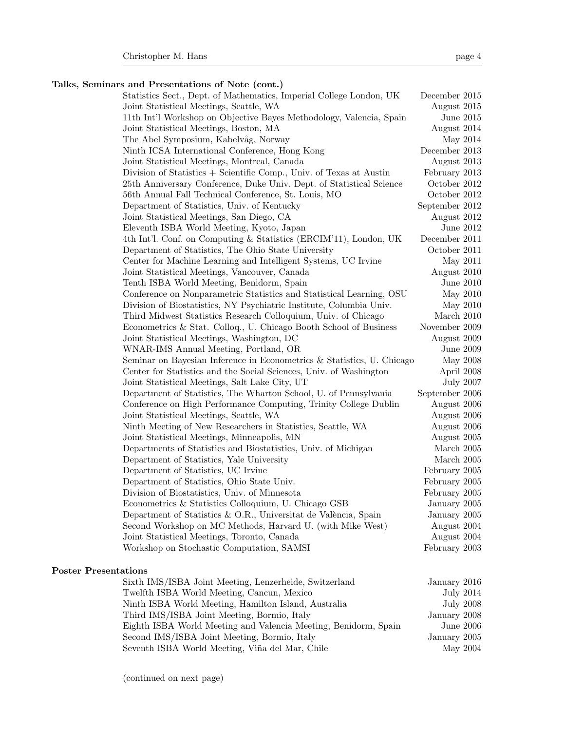# Talks, Seminars and Presentations of Note (cont.)

| Statistics Sect., Dept. of Mathematics, Imperial College London, UK    | December 2015    |                  |
|------------------------------------------------------------------------|------------------|------------------|
| Joint Statistical Meetings, Seattle, WA                                | August 2015      |                  |
| 11th Int'l Workshop on Objective Bayes Methodology, Valencia, Spain    | June 2015        |                  |
| Joint Statistical Meetings, Boston, MA                                 | August 2014      |                  |
| The Abel Symposium, Kabelvåg, Norway                                   | May 2014         |                  |
| Ninth ICSA International Conference, Hong Kong                         | December 2013    |                  |
| Joint Statistical Meetings, Montreal, Canada                           | August 2013      |                  |
| Division of Statistics + Scientific Comp., Univ. of Texas at Austin    | February 2013    |                  |
| 25th Anniversary Conference, Duke Univ. Dept. of Statistical Science   | October 2012     |                  |
| 56th Annual Fall Technical Conference, St. Louis, MO                   | October 2012     |                  |
| Department of Statistics, Univ. of Kentucky                            | September 2012   |                  |
| Joint Statistical Meetings, San Diego, CA                              | August 2012      |                  |
| Eleventh ISBA World Meeting, Kyoto, Japan                              | June 2012        |                  |
| 4th Int'l. Conf. on Computing & Statistics (ERCIM'11), London, UK      | December 2011    |                  |
| Department of Statistics, The Ohio State University                    | October 2011     |                  |
| Center for Machine Learning and Intelligent Systems, UC Irvine         | May 2011         |                  |
| Joint Statistical Meetings, Vancouver, Canada                          | August 2010      |                  |
| Tenth ISBA World Meeting, Benidorm, Spain                              | June 2010        |                  |
| Conference on Nonparametric Statistics and Statistical Learning, OSU   | May 2010         |                  |
| Division of Biostatistics, NY Psychiatric Institute, Columbia Univ.    | May 2010         |                  |
| Third Midwest Statistics Research Colloquium, Univ. of Chicago         | March 2010       |                  |
| Econometrics & Stat. Colloq., U. Chicago Booth School of Business      | November 2009    |                  |
| Joint Statistical Meetings, Washington, DC                             | August 2009      |                  |
| WNAR-IMS Annual Meeting, Portland, OR                                  | <b>June 2009</b> |                  |
| Seminar on Bayesian Inference in Econometrics & Statistics, U. Chicago | May 2008         |                  |
| Center for Statistics and the Social Sciences, Univ. of Washington     | April 2008       |                  |
| Joint Statistical Meetings, Salt Lake City, UT                         |                  | <b>July 2007</b> |
| Department of Statistics, The Wharton School, U. of Pennsylvania       | September 2006   |                  |
| Conference on High Performance Computing, Trinity College Dublin       | August 2006      |                  |
| Joint Statistical Meetings, Seattle, WA                                | August 2006      |                  |
| Ninth Meeting of New Researchers in Statistics, Seattle, WA            | August 2006      |                  |
| Joint Statistical Meetings, Minneapolis, MN                            | August 2005      |                  |
| Departments of Statistics and Biostatistics, Univ. of Michigan         | March 2005       |                  |
| Department of Statistics, Yale University                              | March $2005$     |                  |
| Department of Statistics, UC Irvine                                    | February 2005    |                  |
| Department of Statistics, Ohio State Univ.                             | February 2005    |                  |
| Division of Biostatistics, Univ. of Minnesota                          | February 2005    |                  |
| Econometrics & Statistics Colloquium, U. Chicago GSB                   | January 2005     |                  |
| Department of Statistics & O.R., Universitat de València, Spain        | January 2005     |                  |
| Second Workshop on MC Methods, Harvard U. (with Mike West)             | August 2004      |                  |
| Joint Statistical Meetings, Toronto, Canada                            | August 2004      |                  |
| Workshop on Stochastic Computation, SAMSI                              | February 2003    |                  |
|                                                                        |                  |                  |

# Poster Presentations

| Sixth IMS/ISBA Joint Meeting, Lenzerheide, Switzerland          | January 2016     |
|-----------------------------------------------------------------|------------------|
| Twelfth ISBA World Meeting, Cancun, Mexico                      | <b>July 2014</b> |
| Ninth ISBA World Meeting, Hamilton Island, Australia            | <b>July 2008</b> |
| Third IMS/ISBA Joint Meeting, Bormio, Italy                     | January 2008     |
| Eighth ISBA World Meeting and Valencia Meeting, Benidorm, Spain | <b>June 2006</b> |
| Second IMS/ISBA Joint Meeting, Bormio, Italy                    | January 2005     |
| Seventh ISBA World Meeting, Viña del Mar, Chile                 | May 2004         |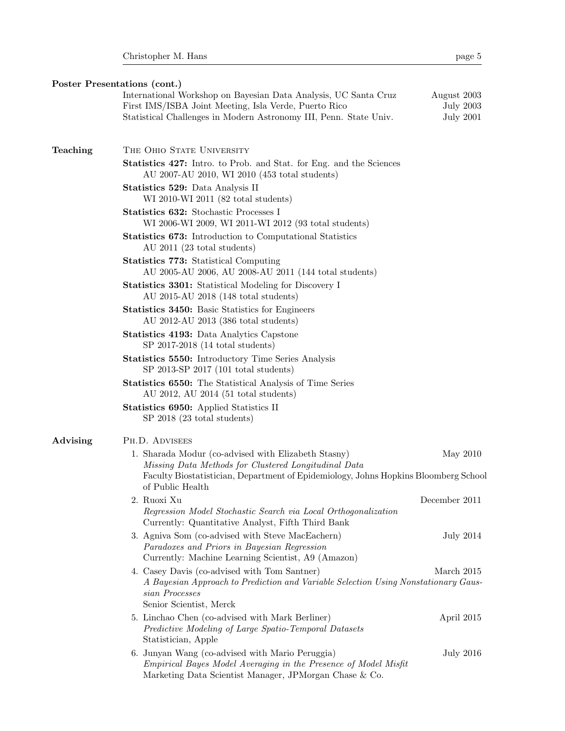Poster Presentations (cont.)

|          | International Workshop on Bayesian Data Analysis, UC Santa Cruz<br>First IMS/ISBA Joint Meeting, Isla Verde, Puerto Rico<br>Statistical Challenges in Modern Astronomy III, Penn. State Univ.      | August 2003<br><b>July 2003</b><br><b>July 2001</b> |
|----------|----------------------------------------------------------------------------------------------------------------------------------------------------------------------------------------------------|-----------------------------------------------------|
| Teaching | THE OHIO STATE UNIVERSITY                                                                                                                                                                          |                                                     |
|          | <b>Statistics 427:</b> Intro. to Prob. and Stat. for Eng. and the Sciences<br>AU 2007-AU 2010, WI 2010 (453 total students)                                                                        |                                                     |
|          | Statistics 529: Data Analysis II<br>WI 2010-WI 2011 (82 total students)                                                                                                                            |                                                     |
|          | <b>Statistics 632:</b> Stochastic Processes I<br>WI 2006-WI 2009, WI 2011-WI 2012 (93 total students)                                                                                              |                                                     |
|          | <b>Statistics 673:</b> Introduction to Computational Statistics<br>AU $2011$ (23 total students)                                                                                                   |                                                     |
|          | <b>Statistics 773:</b> Statistical Computing<br>AU 2005-AU 2006, AU 2008-AU 2011 (144 total students)                                                                                              |                                                     |
|          | <b>Statistics 3301:</b> Statistical Modeling for Discovery I<br>AU 2015-AU 2018 (148 total students)                                                                                               |                                                     |
|          | <b>Statistics 3450:</b> Basic Statistics for Engineers<br>AU 2012-AU 2013 (386 total students)                                                                                                     |                                                     |
|          | <b>Statistics 4193:</b> Data Analytics Capstone<br>$SP$ 2017-2018 (14 total students)                                                                                                              |                                                     |
|          | Statistics 5550: Introductory Time Series Analysis<br>$SP$ 2013- $SP$ 2017 (101 total students)                                                                                                    |                                                     |
|          | <b>Statistics 6550:</b> The Statistical Analysis of Time Series<br>AU 2012, AU 2014 $(51 \text{ total students})$                                                                                  |                                                     |
|          | <b>Statistics 6950:</b> Applied Statistics II<br>$SP$ 2018 (23 total students)                                                                                                                     |                                                     |
| Advising | PH.D. ADVISEES                                                                                                                                                                                     |                                                     |
|          | 1. Sharada Modur (co-advised with Elizabeth Stasny)<br>Missing Data Methods for Clustered Longitudinal Data<br>Faculty Biostatistician, Department of Epidemiology, Johns Hopkins Bloomberg School | May 2010                                            |
|          | of Public Health                                                                                                                                                                                   |                                                     |
|          | 2. Ruoxi Xu<br>Regression Model Stochastic Search via Local Orthogonalization<br>Currently: Quantitative Analyst, Fifth Third Bank                                                                 | December 2011                                       |
|          | 3. Agniva Som (co-advised with Steve MacEachern)<br>Paradoxes and Priors in Bayesian Regression<br>Currently: Machine Learning Scientist, A9 (Amazon)                                              | July 2014                                           |
|          | 4. Casey Davis (co-advised with Tom Santner)<br>A Bayesian Approach to Prediction and Variable Selection Using Nonstationary Gaus-<br>sian Processes<br>Senior Scientist, Merck                    | March 2015                                          |
|          | 5. Linchao Chen (co-advised with Mark Berliner)<br>Predictive Modeling of Large Spatio-Temporal Datasets<br>Statistician, Apple                                                                    | April 2015                                          |
|          | 6. Junyan Wang (co-advised with Mario Peruggia)<br>Empirical Bayes Model Averaging in the Presence of Model Misfit<br>Marketing Data Scientist Manager, JPMorgan Chase & Co.                       | <b>July 2016</b>                                    |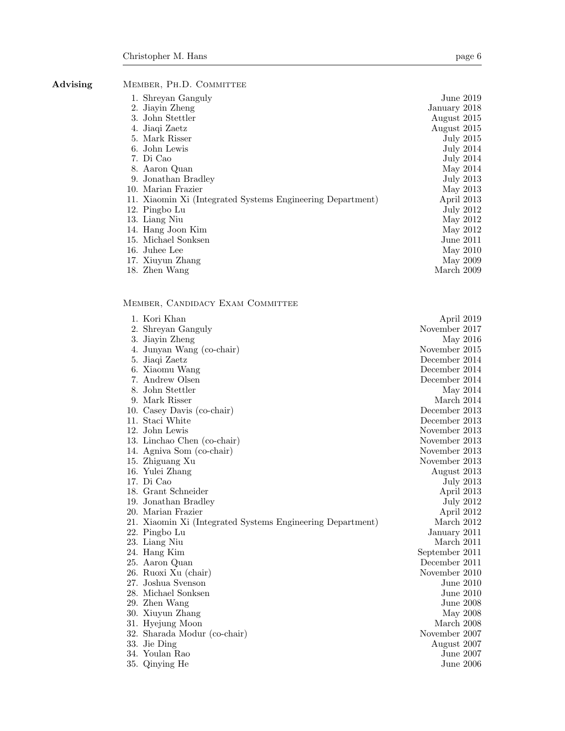Advising MEMBER, PH.D. COMMITTEE

| 1. Shreyan Ganguly                                         | June 2019        |
|------------------------------------------------------------|------------------|
| 2. Jiayin Zheng                                            | January 2018     |
| 3. John Stettler                                           | August 2015      |
| 4. Jiaqi Zaetz                                             | August 2015      |
| 5. Mark Risser                                             | <b>July 2015</b> |
| 6. John Lewis                                              | <b>July 2014</b> |
| 7. Di Cao                                                  | July 2014        |
| 8. Aaron Quan                                              | May 2014         |
| 9. Jonathan Bradley                                        | July 2013        |
| 10. Marian Frazier                                         | May 2013         |
| 11. Xiaomin Xi (Integrated Systems Engineering Department) | April 2013       |
| 12. Pingbo Lu                                              | <b>July 2012</b> |
| 13. Liang Niu                                              | May 2012         |
| 14. Hang Joon Kim                                          | May 2012         |
| 15. Michael Sonksen                                        | June 2011        |
| 16. Juhee Lee                                              | May 2010         |
| 17. Xiuyun Zhang                                           | May 2009         |
| 18. Zhen Wang                                              | March 2009       |
|                                                            |                  |

Member, Candidacy Exam Committee

| 1. Kori Khan                                               | April 2019     |  |
|------------------------------------------------------------|----------------|--|
| 2. Shreyan Ganguly                                         | November 2017  |  |
| 3. Jiayin Zheng                                            | May 2016       |  |
| 4. Junyan Wang (co-chair)                                  | November 2015  |  |
| 5. Jiaqi Zaetz                                             | December 2014  |  |
| 6. Xiaomu Wang                                             | December 2014  |  |
| 7. Andrew Olsen                                            | December 2014  |  |
| 8. John Stettler                                           | May 2014       |  |
| 9. Mark Risser                                             | March 2014     |  |
| 10. Casey Davis (co-chair)                                 | December 2013  |  |
| 11. Staci White                                            | December 2013  |  |
| 12. John Lewis                                             | November 2013  |  |
| 13. Linchao Chen (co-chair)                                | November 2013  |  |
| 14. Agniva Som (co-chair)                                  | November 2013  |  |
| 15. Zhiguang Xu                                            | November 2013  |  |
| 16. Yulei Zhang                                            | August 2013    |  |
| 17. Di Cao                                                 | July 2013      |  |
| 18. Grant Schneider                                        | April 2013     |  |
| 19. Jonathan Bradley                                       | July 2012      |  |
| 20. Marian Frazier                                         | April 2012     |  |
| 21. Xiaomin Xi (Integrated Systems Engineering Department) | March 2012     |  |
| 22. Pingbo Lu                                              | January 2011   |  |
| 23. Liang Niu                                              | March 2011     |  |
| 24. Hang Kim                                               | September 2011 |  |
| 25. Aaron Quan                                             | December 2011  |  |
| 26. Ruoxi Xu (chair)                                       | November 2010  |  |
| 27. Joshua Svenson                                         | June $2010$    |  |
| 28. Michael Sonksen                                        | June $2010$    |  |
| 29. Zhen Wang                                              | June 2008      |  |
| 30. Xiuyun Zhang                                           | May 2008       |  |
| 31. Hyejung Moon                                           | March 2008     |  |
| 32. Sharada Modur (co-chair)                               | November 2007  |  |
| 33. Jie Ding                                               | August 2007    |  |
| 34. Youlan Rao                                             | June 2007      |  |
| 35. Qinying He                                             | June $2006$    |  |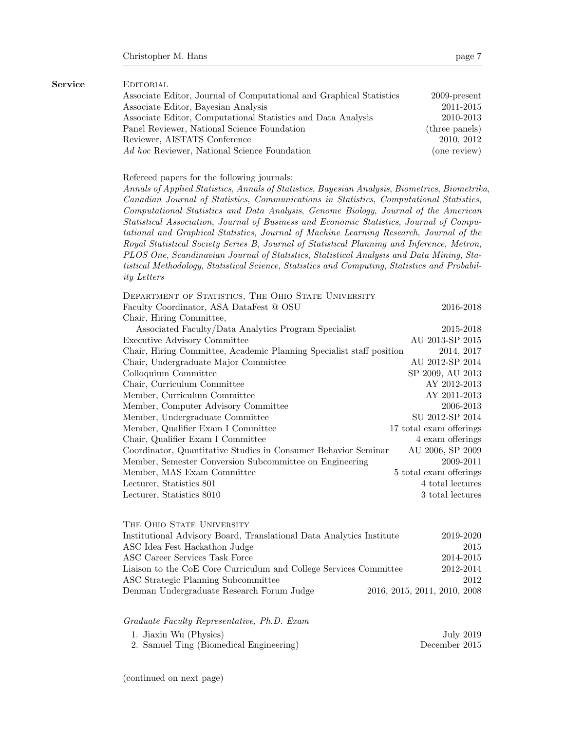| Service | EDITORIAL                                                                                                                                                                                                                                                                                                                                                                                                                                                                                                                                                                                                                                                                                                                                                                                                                              |                              |
|---------|----------------------------------------------------------------------------------------------------------------------------------------------------------------------------------------------------------------------------------------------------------------------------------------------------------------------------------------------------------------------------------------------------------------------------------------------------------------------------------------------------------------------------------------------------------------------------------------------------------------------------------------------------------------------------------------------------------------------------------------------------------------------------------------------------------------------------------------|------------------------------|
|         | Associate Editor, Journal of Computational and Graphical Statistics                                                                                                                                                                                                                                                                                                                                                                                                                                                                                                                                                                                                                                                                                                                                                                    | $2009$ -present              |
|         | Associate Editor, Bayesian Analysis                                                                                                                                                                                                                                                                                                                                                                                                                                                                                                                                                                                                                                                                                                                                                                                                    | 2011-2015                    |
|         | Associate Editor, Computational Statistics and Data Analysis                                                                                                                                                                                                                                                                                                                                                                                                                                                                                                                                                                                                                                                                                                                                                                           | 2010-2013                    |
|         | Panel Reviewer, National Science Foundation                                                                                                                                                                                                                                                                                                                                                                                                                                                                                                                                                                                                                                                                                                                                                                                            | (three panels)               |
|         | Reviewer, AISTATS Conference                                                                                                                                                                                                                                                                                                                                                                                                                                                                                                                                                                                                                                                                                                                                                                                                           | 2010, 2012                   |
|         | Ad hoc Reviewer, National Science Foundation                                                                                                                                                                                                                                                                                                                                                                                                                                                                                                                                                                                                                                                                                                                                                                                           | (one review)                 |
|         | Refereed papers for the following journals:<br>Annals of Applied Statistics, Annals of Statistics, Bayesian Analysis, Biometrics, Biometrika,<br>Canadian Journal of Statistics, Communications in Statistics, Computational Statistics,<br>Computational Statistics and Data Analysis, Genome Biology, Journal of the American<br>Statistical Association, Journal of Business and Economic Statistics, Journal of Compu-<br>tational and Graphical Statistics, Journal of Machine Learning Research, Journal of the<br>Royal Statistical Society Series B, Journal of Statistical Planning and Inference, Metron,<br>PLOS One, Scandinavian Journal of Statistics, Statistical Analysis and Data Mining, Sta-<br>tistical Methodology, Statistical Science, Statistics and Computing, Statistics and Probabil-<br><i>ity Letters</i> |                              |
|         | DEPARTMENT OF STATISTICS, THE OHIO STATE UNIVERSITY                                                                                                                                                                                                                                                                                                                                                                                                                                                                                                                                                                                                                                                                                                                                                                                    |                              |
|         | Faculty Coordinator, ASA DataFest @ OSU                                                                                                                                                                                                                                                                                                                                                                                                                                                                                                                                                                                                                                                                                                                                                                                                | 2016-2018                    |
|         | Chair, Hiring Committee,                                                                                                                                                                                                                                                                                                                                                                                                                                                                                                                                                                                                                                                                                                                                                                                                               |                              |
|         | Associated Faculty/Data Analytics Program Specialist                                                                                                                                                                                                                                                                                                                                                                                                                                                                                                                                                                                                                                                                                                                                                                                   | 2015-2018                    |
|         | Executive Advisory Committee                                                                                                                                                                                                                                                                                                                                                                                                                                                                                                                                                                                                                                                                                                                                                                                                           | AU 2013-SP 2015              |
|         | Chair, Hiring Committee, Academic Planning Specialist staff position                                                                                                                                                                                                                                                                                                                                                                                                                                                                                                                                                                                                                                                                                                                                                                   | 2014, 2017                   |
|         | Chair, Undergraduate Major Committee                                                                                                                                                                                                                                                                                                                                                                                                                                                                                                                                                                                                                                                                                                                                                                                                   | AU 2012-SP 2014              |
|         | Colloquium Committee                                                                                                                                                                                                                                                                                                                                                                                                                                                                                                                                                                                                                                                                                                                                                                                                                   | SP 2009, AU 2013             |
|         | Chair, Curriculum Committee                                                                                                                                                                                                                                                                                                                                                                                                                                                                                                                                                                                                                                                                                                                                                                                                            | AY 2012-2013                 |
|         | Member, Curriculum Committee                                                                                                                                                                                                                                                                                                                                                                                                                                                                                                                                                                                                                                                                                                                                                                                                           | AY 2011-2013                 |
|         | Member, Computer Advisory Committee                                                                                                                                                                                                                                                                                                                                                                                                                                                                                                                                                                                                                                                                                                                                                                                                    | 2006-2013                    |
|         | Member, Undergraduate Committee                                                                                                                                                                                                                                                                                                                                                                                                                                                                                                                                                                                                                                                                                                                                                                                                        | SU 2012-SP 2014              |
|         | Member, Qualifier Exam I Committee                                                                                                                                                                                                                                                                                                                                                                                                                                                                                                                                                                                                                                                                                                                                                                                                     | 17 total exam offerings      |
|         | Chair, Qualifier Exam I Committee                                                                                                                                                                                                                                                                                                                                                                                                                                                                                                                                                                                                                                                                                                                                                                                                      | 4 exam offerings             |
|         | Coordinator, Quantitative Studies in Consumer Behavior Seminar                                                                                                                                                                                                                                                                                                                                                                                                                                                                                                                                                                                                                                                                                                                                                                         | AU 2006, SP 2009             |
|         | Member, Semester Conversion Subcommittee on Engineering                                                                                                                                                                                                                                                                                                                                                                                                                                                                                                                                                                                                                                                                                                                                                                                | 2009-2011                    |
|         | Member, MAS Exam Committee                                                                                                                                                                                                                                                                                                                                                                                                                                                                                                                                                                                                                                                                                                                                                                                                             | 5 total exam offerings       |
|         | Lecturer, Statistics $801\,$                                                                                                                                                                                                                                                                                                                                                                                                                                                                                                                                                                                                                                                                                                                                                                                                           | 4 total lectures             |
|         | Lecturer, Statistics 8010                                                                                                                                                                                                                                                                                                                                                                                                                                                                                                                                                                                                                                                                                                                                                                                                              | 3 total lectures             |
|         | THE OHIO STATE UNIVERSITY                                                                                                                                                                                                                                                                                                                                                                                                                                                                                                                                                                                                                                                                                                                                                                                                              |                              |
|         | Institutional Advisory Board, Translational Data Analytics Institute                                                                                                                                                                                                                                                                                                                                                                                                                                                                                                                                                                                                                                                                                                                                                                   | 2019-2020                    |
|         | ASC Idea Fest Hackathon Judge                                                                                                                                                                                                                                                                                                                                                                                                                                                                                                                                                                                                                                                                                                                                                                                                          | 2015                         |
|         | ASC Career Services Task Force                                                                                                                                                                                                                                                                                                                                                                                                                                                                                                                                                                                                                                                                                                                                                                                                         | 2014-2015                    |
|         | Liaison to the CoE Core Curriculum and College Services Committee                                                                                                                                                                                                                                                                                                                                                                                                                                                                                                                                                                                                                                                                                                                                                                      | 2012-2014                    |
|         | ASC Strategic Planning Subcommittee                                                                                                                                                                                                                                                                                                                                                                                                                                                                                                                                                                                                                                                                                                                                                                                                    | 2012                         |
|         | Denman Undergraduate Research Forum Judge                                                                                                                                                                                                                                                                                                                                                                                                                                                                                                                                                                                                                                                                                                                                                                                              | 2016, 2015, 2011, 2010, 2008 |
|         |                                                                                                                                                                                                                                                                                                                                                                                                                                                                                                                                                                                                                                                                                                                                                                                                                                        |                              |

Graduate Faculty Representative, Ph.D. Exam 1. Jiaxin Wu (Physics) July 2019<br>2. Samuel Ting (Biomedical Engineering) December 2015 2. Samuel Ting (Biomedical Engineering)